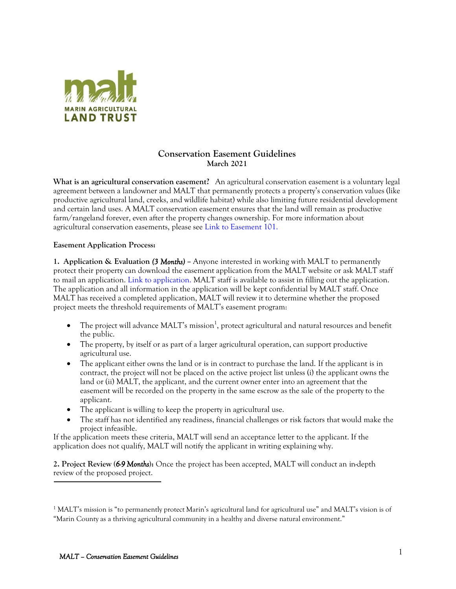

## **Conservation Easement Guidelines March 2021**

**What is an agricultural conservation easement?** An agricultural conservation easement is a voluntary legal agreement between a landowner and MALT that permanently protects a property's conservation values (like productive agricultural land, creeks, and wildlife habitat) while also limiting future residential development and certain land uses. A MALT conservation easement ensures that the land will remain as productive farm/rangeland forever, even after the property changes ownership. For more information about agricultural conservation easements, please see Link to Easement 101.

## **Easement Application Process:**

**1. Application & Evaluation** *(3 Months)* **–** Anyone interested in working with MALT to permanently protect their property can download the easement application from the MALT website or ask MALT staff to mail an application. Link to application. MALT staff is available to assist in filling out the application. The application and all information in the application will be kept confidential by MALT staff. Once MALT has received a completed application, MALT will review it to determine whether the proposed project meets the threshold requirements of MALT's easement program:

- $\bullet$  The project will advance MALT's mission<sup>1</sup>, protect agricultural and natural resources and benefit the public.
- The property, by itself or as part of a larger agricultural operation, can support productive agricultural use.
- The applicant either owns the land or is in contract to purchase the land. If the applicant is in contract, the project will not be placed on the active project list unless (i) the applicant owns the land or (ii) MALT, the applicant, and the current owner enter into an agreement that the easement will be recorded on the property in the same escrow as the sale of the property to the applicant.
- The applicant is willing to keep the property in agricultural use.
- The staff has not identified any readiness, financial challenges or risk factors that would make the project infeasible.

If the application meets these criteria, MALT will send an acceptance letter to the applicant. If the application does not qualify, MALT will notify the applicant in writing explaining why.

**2. Project Review (***6-9 Months***):** Once the project has been accepted, MALT will conduct an in-depth review of the proposed project.

<sup>&</sup>lt;sup>1</sup> MALT's mission is "to permanently protect Marin's agricultural land for agricultural use" and MALT's vision is of "Marin County as a thriving agricultural community in a healthy and diverse natural environment."